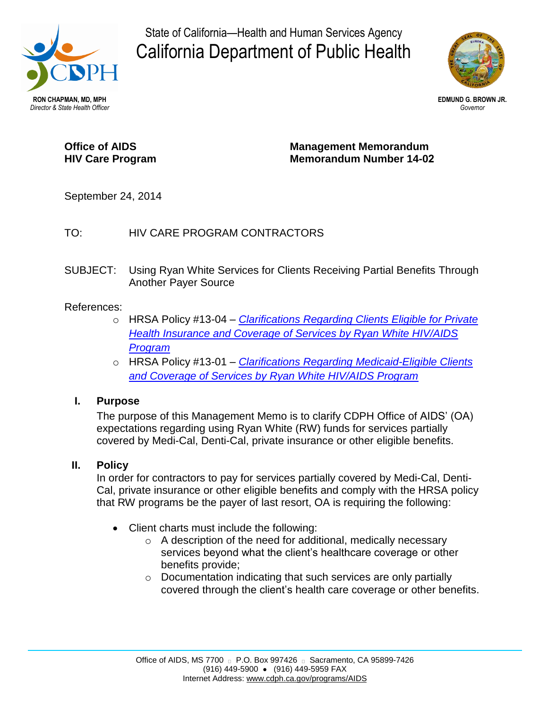

State of California—Health and Human Services Agency California Department of Public Health



# **Office of AIDS HIV Care Program**

**Management Memorandum Memorandum Number 14-02**

September 24, 2014

# TO: HIV CARE PROGRAM CONTRACTORS

SUBJECT: Using Ryan White Services for Clients Receiving Partial Benefits Through Another Payer Source

# References:

- o HRSA Policy #13-04 *[Clarifications Regarding Clients Eligible for Private](http://hab.hrsa.gov/manageyourgrant/pinspals/pcn1304privateinsurance.pdf) [Health Insurance and Coverage of Services by Ryan White HIV/AIDS](http://hab.hrsa.gov/manageyourgrant/pinspals/pcn1304privateinsurance.pdf) [Program](http://hab.hrsa.gov/manageyourgrant/pinspals/pcn1304privateinsurance.pdf)*
- o HRSA Policy #13-01 *[Clarifications Regarding Medicaid-Eligible Clients](http://hab.hrsa.gov/manageyourgrant/pinspals/1301pcnmedicaideligible.pdf) [and Coverage of Services by Ryan White HIV/AIDS Program](http://hab.hrsa.gov/manageyourgrant/pinspals/1301pcnmedicaideligible.pdf)*

### **I. Purpose**

The purpose of this Management Memo is to clarify CDPH Office of AIDS' (OA) expectations regarding using Ryan White (RW) funds for services partially covered by Medi-Cal, Denti-Cal, private insurance or other eligible benefits.

### **II. Policy**

In order for contractors to pay for services partially covered by Medi-Cal, Denti-Cal, private insurance or other eligible benefits and comply with the HRSA policy that RW programs be the payer of last resort, OA is requiring the following:

- Client charts must include the following:
	- o A description of the need for additional, medically necessary services beyond what the client's healthcare coverage or other benefits provide;
	- o Documentation indicating that such services are only partially covered through the client's health care coverage or other benefits.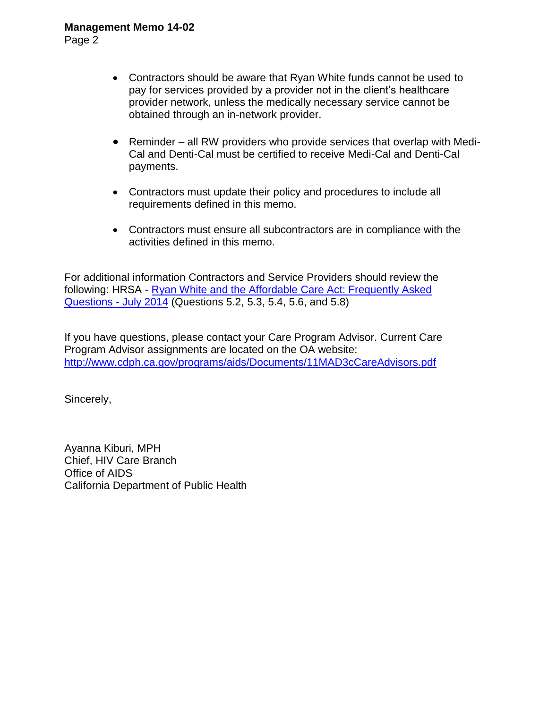#### **Management Memo 14-02**

Page 2

- Contractors should be aware that Ryan White funds cannot be used to pay for services provided by a provider not in the client's healthcare provider network, unless the medically necessary service cannot be obtained through an in-network provider.
- Reminder all RW providers who provide services that overlap with Medi-Cal and Denti-Cal must be certified to receive Medi-Cal and Denti-Cal payments.
- Contractors must update their policy and procedures to include all requirements defined in this memo.
- Contractors must ensure all subcontractors are in compliance with the activities defined in this memo.

For additional information Contractors and Service Providers should review the following: HRSA - [Ryan White and the Affordable Care Act: Frequently Asked](http://hab.hrsa.gov/affordablecareact/faq.pdf)  [Questions - July 2014](http://hab.hrsa.gov/affordablecareact/faq.pdf) (Questions 5.2, 5.3, 5.4, 5.6, and 5.8)

If you have questions, please contact your Care Program Advisor. Current Care Program Advisor assignments are located on the OA website: <http://www.cdph.ca.gov/programs/aids/Documents/11MAD3cCareAdvisors.pdf>

Sincerely,

Ayanna Kiburi, MPH Chief, HIV Care Branch Office of AIDS California Department of Public Health